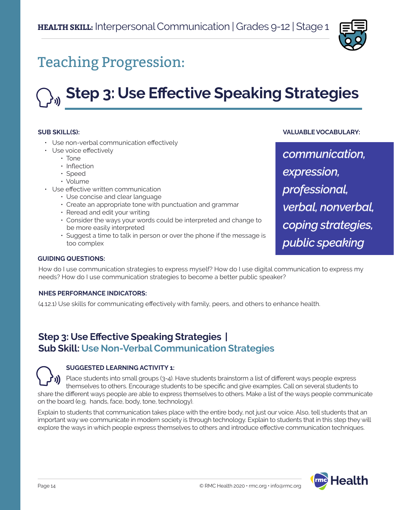

## Teaching Progression:

# **Step 3: Use Effective Speaking Strategies**

#### **SUB SKILL(S):**

- Use non-verbal communication effectively
- Use voice effectively
	- Tone
	- Inflection
	- Speed
	- Volume
- Use effective written communication
	- Use concise and clear language
	- Create an appropriate tone with punctuation and grammar
	- Reread and edit your writing
	- Consider the ways your words could be interpreted and change to be more easily interpreted
	- Suggest a time to talk in person or over the phone if the message is too complex

*communication,* 

**VALUABLE VOCABULARY:**

*expression, professional, verbal, nonverbal, coping strategies, public speaking*

#### **GUIDING QUESTIONS:**

How do I use communication strategies to express myself? How do I use digital communication to express my needs? How do I use communication strategies to become a better public speaker?

#### **NHES PERFORMANCE INDICATORS:**

(4.12.1) Use skills for communicating effectively with family, peers, and others to enhance health.

## **Step 3: Use Effective Speaking Strategies | Sub Skill: Use Non-Verbal Communication Strategies**

#### **SUGGESTED LEARNING ACTIVITY 1:**

Place students into small groups (3-4). Have students brainstorm a list of different ways people express themselves to others. Encourage students to be specific and give examples. Call on several students to share the different ways people are able to express themselves to others. Make a list of the ways people communicate on the board (e.g. hands, face, body, tone, technology).

Explain to students that communication takes place with the entire body, not just our voice. Also, tell students that an important way we communicate in modern society is through technology. Explain to students that in this step they will explore the ways in which people express themselves to others and introduce effective communication techniques.

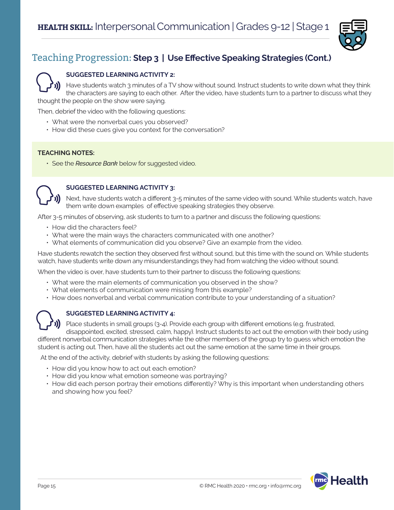

#### **SUGGESTED LEARNING ACTIVITY 2:**

Have students watch 3 minutes of a TV show without sound. Instruct students to write down what they think the characters are saying to each other. After the video, have students turn to a partner to discuss what they thought the people on the show were saying.

Then, debrief the video with the following questions:

- What were the nonverbal cues you observed?
- How did these cues give you context for the conversation?

#### **TEACHING NOTES:**

• See the *Resource Bank* below for suggested video.



#### **SUGGESTED LEARNING ACTIVITY 3:**

Next, have students watch a different 3-5 minutes of the same video with sound. While students watch, have them write down examples of effective speaking strategies they observe.

After 3-5 minutes of observing, ask students to turn to a partner and discuss the following questions:

- How did the characters feel?
- What were the main ways the characters communicated with one another?
- What elements of communication did you observe? Give an example from the video.

Have students rewatch the section they observed first without sound, but this time with the sound on. While students watch, have students write down any misunderstandings they had from watching the video without sound.

When the video is over, have students turn to their partner to discuss the following questions:

- What were the main elements of communication you observed in the show?
- What elements of communication were missing from this example?
- How does nonverbal and verbal communication contribute to your understanding of a situation?



#### **SUGGESTED LEARNING ACTIVITY 4:**

Place students in small groups (3-4). Provide each group with different emotions (e.g. frustrated, disappointed, excited, stressed, calm, happy). Instruct students to act out the emotion with their body using

different nonverbal communication strategies while the other members of the group try to guess which emotion the student is acting out. Then, have all the students act out the same emotion at the same time in their groups.

At the end of the activity, debrief with students by asking the following questions:

- How did you know how to act out each emotion?
- How did you know what emotion someone was portraying?
- How did each person portray their emotions differently? Why is this important when understanding others and showing how you feel?

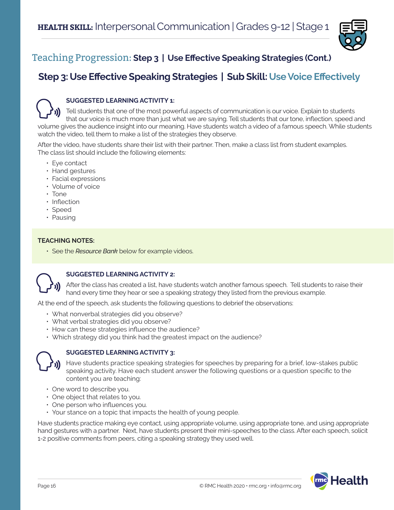

## **Step 3: Use Effective Speaking Strategies | Sub Skill: Use Voice Effectively**



#### **SUGGESTED LEARNING ACTIVITY 1:**

Tell students that one of the most powerful aspects of communication is our voice. Explain to students that our voice is much more than just what we are saying. Tell students that our tone, inflection, speed and volume gives the audience insight into our meaning. Have students watch a video of a famous speech. While students watch the video, tell them to make a list of the strategies they observe.

After the video, have students share their list with their partner. Then, make a class list from student examples. The class list should include the following elements:

- Eye contact
- Hand gestures
- Facial expressions
- Volume of voice
- Tone
- Inflection
- Speed
- Pausing

#### **TEACHING NOTES:**

• See the *Resource Bank* below for example videos.



#### **SUGGESTED LEARNING ACTIVITY 2:**

After the class has created a list, have students watch another famous speech. Tell students to raise their hand every time they hear or see a speaking strategy they listed from the previous example.

At the end of the speech, ask students the following questions to debrief the observations:

- What nonverbal strategies did you observe?
- What verbal strategies did you observe?
- How can these strategies influence the audience?
- Which strategy did you think had the greatest impact on the audience?



#### **SUGGESTED LEARNING ACTIVITY 3:**

Have students practice speaking strategies for speeches by preparing for a brief, low-stakes public speaking activity. Have each student answer the following questions or a question specific to the content you are teaching:

- One word to describe you.
- One object that relates to you.
- One person who influences you.
- Your stance on a topic that impacts the health of young people.

Have students practice making eye contact, using appropriate volume, using appropriate tone, and using appropriate hand gestures with a partner. Next, have students present their mini-speeches to the class. After each speech, solicit 1-2 positive comments from peers, citing a speaking strategy they used well.

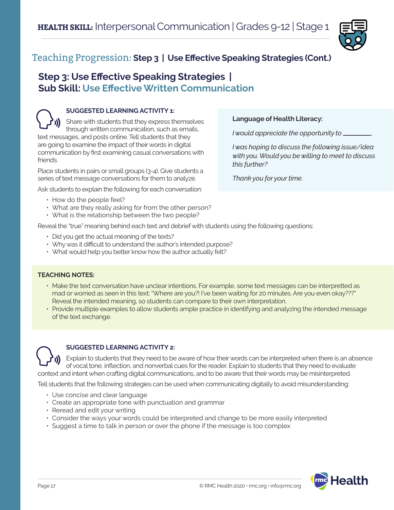

### **Step 3: Use Effective Speaking Strategies | Sub Skill: Use Effective Written Communication**

#### **SUGGESTED LEARNING ACTIVITY 1:** Share with students that they express themselves through written communication, such as emails, text messages, and posts online. Tell students that they are going to examine the impact of their words in digital communication by first examining casual conversations with friends.

Place students in pairs or small groups (3-4). Give students a series of text message conversations for them to analyze.

Ask students to explain the following for each conversation:

- How do the people feel?
- What are they really asking for from the other person?
- What is the relationship between the two people?

Reveal the "true" meaning behind each text and debrief with students using the following questions:

- Did you get the actual meaning of the texts?
- Why was it difficult to understand the author's intended purpose?
- What would help you better know how the author actually felt?

#### **TEACHING NOTES:**

- Make the text conversation have unclear intentions. For example, some text messages can be interpretted as mad or worried as seen in this text: "Where are you?! I've been waiting for 20 minutes. Are you even okay???" Reveal the intended meaning, so students can compare to their own interpretation.
- Provide multiple examples to allow students ample practice in identifying and analyzing the intended message of the text exchange.



#### **SUGGESTED LEARNING ACTIVITY 2:**

Explain to students that they need to be aware of how their words can be interpreted when there is an absence of vocal tone, inflection, and nonverbal cues for the reader. Explain to students that they need to evaluate context and intent when crafting digital communications, and to be aware that their words may be misinterpreted.

Tell students that the following strategies can be used when communicating digitally to avoid misunderstanding:

- Use concise and clear language
- Create an appropriate tone with punctuation and grammar
- Reread and edit your writing
- Consider the ways your words could be interpreted and change to be more easily interpreted
- Suggest a time to talk in person or over the phone if the message is too complex



#### **Language of Health Literacy:**

*I would appreciate the opportunity to* .

*I was hoping to discuss the following issue/idea with you. Would you be willing to meet to discuss this further?*

*Thank you for your time.*